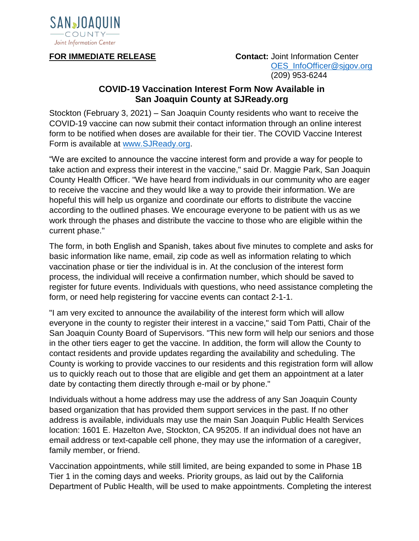

**FOR IMMEDIATE RELEASE Contact:** Joint Information Center OES\_InfoOfficer@sigov.org (209) 953-6244

## **COVID-19 Vaccination Interest Form Now Available in San Joaquin County at SJReady.org**

Stockton (February 3, 2021) – San Joaquin County residents who want to receive the COVID-19 vaccine can now submit their contact information through an online interest form to be notified when doses are available for their tier. The COVID Vaccine Interest Form is available at [www.SJReady.org.](http://www.sjready.org/)

"We are excited to announce the vaccine interest form and provide a way for people to take action and express their interest in the vaccine," said Dr. Maggie Park, San Joaquin County Health Officer. "We have heard from individuals in our community who are eager to receive the vaccine and they would like a way to provide their information. We are hopeful this will help us organize and coordinate our efforts to distribute the vaccine according to the outlined phases. We encourage everyone to be patient with us as we work through the phases and distribute the vaccine to those who are eligible within the current phase."

The form, in both English and Spanish, takes about five minutes to complete and asks for basic information like name, email, zip code as well as information relating to which vaccination phase or tier the individual is in. At the conclusion of the interest form process, the individual will receive a confirmation number, which should be saved to register for future events. Individuals with questions, who need assistance completing the form, or need help registering for vaccine events can contact 2-1-1.

"I am very excited to announce the availability of the interest form which will allow everyone in the county to register their interest in a vaccine," said Tom Patti, Chair of the San Joaquin County Board of Supervisors. "This new form will help our seniors and those in the other tiers eager to get the vaccine. In addition, the form will allow the County to contact residents and provide updates regarding the availability and scheduling. The County is working to provide vaccines to our residents and this registration form will allow us to quickly reach out to those that are eligible and get them an appointment at a later date by contacting them directly through e-mail or by phone."

Individuals without a home address may use the address of any San Joaquin County based organization that has provided them support services in the past. If no other address is available, individuals may use the main San Joaquin Public Health Services location: 1601 E. Hazelton Ave, Stockton, CA 95205. If an individual does not have an email address or text-capable cell phone, they may use the information of a caregiver, family member, or friend.

Vaccination appointments, while still limited, are being expanded to some in Phase 1B Tier 1 in the coming days and weeks. Priority groups, as laid out by the California Department of Public Health, will be used to make appointments. Completing the interest